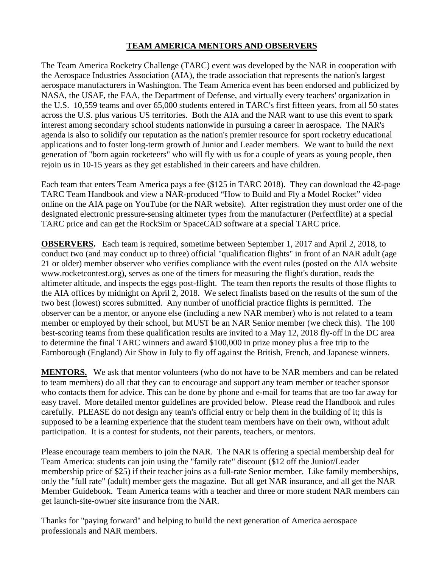## **TEAM AMERICA MENTORS AND OBSERVERS**

The Team America Rocketry Challenge (TARC) event was developed by the NAR in cooperation with the Aerospace Industries Association (AIA), the trade association that represents the nation's largest aerospace manufacturers in Washington. The Team America event has been endorsed and publicized by NASA, the USAF, the FAA, the Department of Defense, and virtually every teachers' organization in the U.S. 10,559 teams and over 65,000 students entered in TARC's first fifteen years, from all 50 states across the U.S. plus various US territories. Both the AIA and the NAR want to use this event to spark interest among secondary school students nationwide in pursuing a career in aerospace. The NAR's agenda is also to solidify our reputation as the nation's premier resource for sport rocketry educational applications and to foster long-term growth of Junior and Leader members. We want to build the next generation of "born again rocketeers" who will fly with us for a couple of years as young people, then rejoin us in 10-15 years as they get established in their careers and have children.

Each team that enters Team America pays a fee (\$125 in TARC 2018). They can download the 42-page TARC Team Handbook and view a NAR-produced "How to Build and Fly a Model Rocket" video online on the AIA page on YouTube (or the NAR website). After registration they must order one of the designated electronic pressure-sensing altimeter types from the manufacturer (Perfectflite) at a special TARC price and can get the RockSim or SpaceCAD software at a special TARC price.

**OBSERVERS.** Each team is required, sometime between September 1, 2017 and April 2, 2018, to conduct two (and may conduct up to three) official "qualification flights" in front of an NAR adult (age 21 or older) member observer who verifies compliance with the event rules (posted on the AIA website www.rocketcontest.org), serves as one of the timers for measuring the flight's duration, reads the altimeter altitude, and inspects the eggs post-flight. The team then reports the results of those flights to the AIA offices by midnight on April 2, 2018. We select finalists based on the results of the sum of the two best (lowest) scores submitted. Any number of unofficial practice flights is permitted. The observer can be a mentor, or anyone else (including a new NAR member) who is not related to a team member or employed by their school, but MUST be an NAR Senior member (we check this). The 100 best-scoring teams from these qualification results are invited to a May 12, 2018 fly-off in the DC area to determine the final TARC winners and award \$100,000 in prize money plus a free trip to the Farnborough (England) Air Show in July to fly off against the British, French, and Japanese winners.

**MENTORS.** We ask that mentor volunteers (who do not have to be NAR members and can be related to team members) do all that they can to encourage and support any team member or teacher sponsor who contacts them for advice. This can be done by phone and e-mail for teams that are too far away for easy travel. More detailed mentor guidelines are provided below. Please read the Handbook and rules carefully. PLEASE do not design any team's official entry or help them in the building of it; this is supposed to be a learning experience that the student team members have on their own, without adult participation. It is a contest for students, not their parents, teachers, or mentors.

Please encourage team members to join the NAR. The NAR is offering a special membership deal for Team America: students can join using the "family rate" discount (\$12 off the Junior/Leader membership price of \$25) if their teacher joins as a full-rate Senior member. Like family memberships, only the "full rate" (adult) member gets the magazine. But all get NAR insurance, and all get the NAR Member Guidebook. Team America teams with a teacher and three or more student NAR members can get launch-site-owner site insurance from the NAR.

Thanks for "paying forward" and helping to build the next generation of America aerospace professionals and NAR members.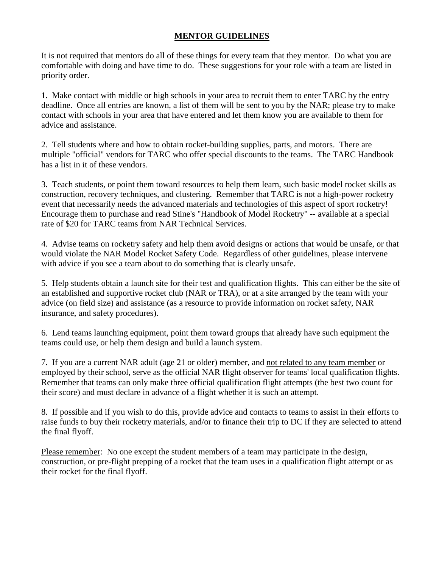## **MENTOR GUIDELINES**

It is not required that mentors do all of these things for every team that they mentor. Do what you are comfortable with doing and have time to do. These suggestions for your role with a team are listed in priority order.

1. Make contact with middle or high schools in your area to recruit them to enter TARC by the entry deadline. Once all entries are known, a list of them will be sent to you by the NAR; please try to make contact with schools in your area that have entered and let them know you are available to them for advice and assistance.

2. Tell students where and how to obtain rocket-building supplies, parts, and motors. There are multiple "official" vendors for TARC who offer special discounts to the teams. The TARC Handbook has a list in it of these vendors.

3. Teach students, or point them toward resources to help them learn, such basic model rocket skills as construction, recovery techniques, and clustering. Remember that TARC is not a high-power rocketry event that necessarily needs the advanced materials and technologies of this aspect of sport rocketry! Encourage them to purchase and read Stine's "Handbook of Model Rocketry" -- available at a special rate of \$20 for TARC teams from NAR Technical Services.

4. Advise teams on rocketry safety and help them avoid designs or actions that would be unsafe, or that would violate the NAR Model Rocket Safety Code. Regardless of other guidelines, please intervene with advice if you see a team about to do something that is clearly unsafe.

5. Help students obtain a launch site for their test and qualification flights. This can either be the site of an established and supportive rocket club (NAR or TRA), or at a site arranged by the team with your advice (on field size) and assistance (as a resource to provide information on rocket safety, NAR insurance, and safety procedures).

6. Lend teams launching equipment, point them toward groups that already have such equipment the teams could use, or help them design and build a launch system.

7. If you are a current NAR adult (age 21 or older) member, and not related to any team member or employed by their school, serve as the official NAR flight observer for teams' local qualification flights. Remember that teams can only make three official qualification flight attempts (the best two count for their score) and must declare in advance of a flight whether it is such an attempt.

8. If possible and if you wish to do this, provide advice and contacts to teams to assist in their efforts to raise funds to buy their rocketry materials, and/or to finance their trip to DC if they are selected to attend the final flyoff.

Please remember: No one except the student members of a team may participate in the design, construction, or pre-flight prepping of a rocket that the team uses in a qualification flight attempt or as their rocket for the final flyoff.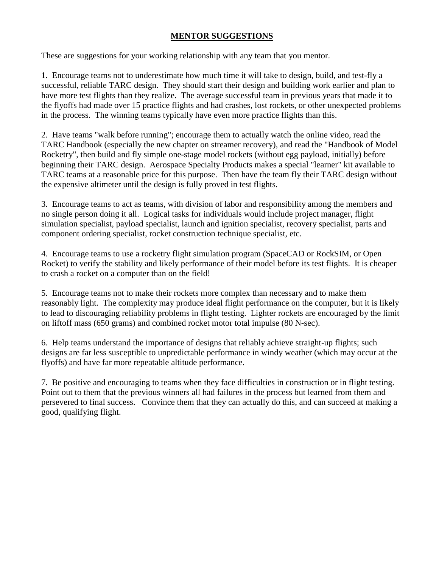## **MENTOR SUGGESTIONS**

These are suggestions for your working relationship with any team that you mentor.

1. Encourage teams not to underestimate how much time it will take to design, build, and test-fly a successful, reliable TARC design. They should start their design and building work earlier and plan to have more test flights than they realize. The average successful team in previous years that made it to the flyoffs had made over 15 practice flights and had crashes, lost rockets, or other unexpected problems in the process. The winning teams typically have even more practice flights than this.

2. Have teams "walk before running"; encourage them to actually watch the online video, read the TARC Handbook (especially the new chapter on streamer recovery), and read the "Handbook of Model Rocketry", then build and fly simple one-stage model rockets (without egg payload, initially) before beginning their TARC design. Aerospace Specialty Products makes a special "learner" kit available to TARC teams at a reasonable price for this purpose. Then have the team fly their TARC design without the expensive altimeter until the design is fully proved in test flights.

3. Encourage teams to act as teams, with division of labor and responsibility among the members and no single person doing it all. Logical tasks for individuals would include project manager, flight simulation specialist, payload specialist, launch and ignition specialist, recovery specialist, parts and component ordering specialist, rocket construction technique specialist, etc.

4. Encourage teams to use a rocketry flight simulation program (SpaceCAD or RockSIM, or Open Rocket) to verify the stability and likely performance of their model before its test flights. It is cheaper to crash a rocket on a computer than on the field!

5. Encourage teams not to make their rockets more complex than necessary and to make them reasonably light. The complexity may produce ideal flight performance on the computer, but it is likely to lead to discouraging reliability problems in flight testing. Lighter rockets are encouraged by the limit on liftoff mass (650 grams) and combined rocket motor total impulse (80 N-sec).

6. Help teams understand the importance of designs that reliably achieve straight-up flights; such designs are far less susceptible to unpredictable performance in windy weather (which may occur at the flyoffs) and have far more repeatable altitude performance.

7. Be positive and encouraging to teams when they face difficulties in construction or in flight testing. Point out to them that the previous winners all had failures in the process but learned from them and persevered to final success. Convince them that they can actually do this, and can succeed at making a good, qualifying flight.